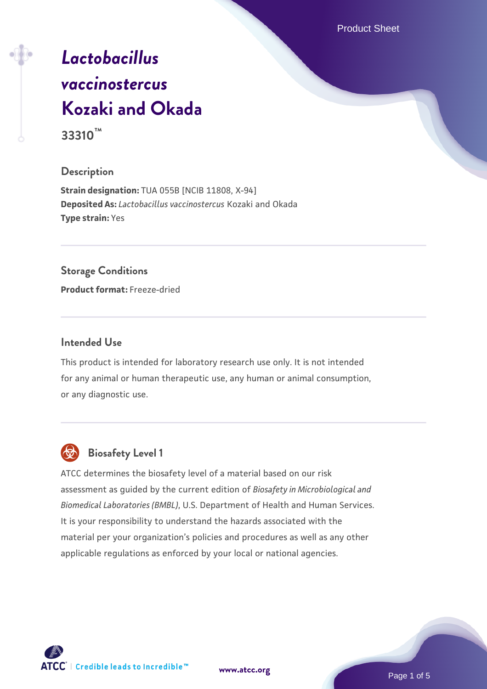Product Sheet

# *[Lactobacillus](https://www.atcc.org/products/33310) [vaccinostercus](https://www.atcc.org/products/33310)* **[Kozaki and Okada](https://www.atcc.org/products/33310) 33310™**

### **Description**

**Strain designation:** TUA 055B [NCIB 11808, X-94] **Deposited As:** *Lactobacillus vaccinostercus* Kozaki and Okada **Type strain:** Yes

### **Storage Conditions**

**Product format:** Freeze-dried

### **Intended Use**

This product is intended for laboratory research use only. It is not intended for any animal or human therapeutic use, any human or animal consumption, or any diagnostic use.



# **Biosafety Level 1**

ATCC determines the biosafety level of a material based on our risk assessment as guided by the current edition of *Biosafety in Microbiological and Biomedical Laboratories (BMBL)*, U.S. Department of Health and Human Services. It is your responsibility to understand the hazards associated with the material per your organization's policies and procedures as well as any other applicable regulations as enforced by your local or national agencies.

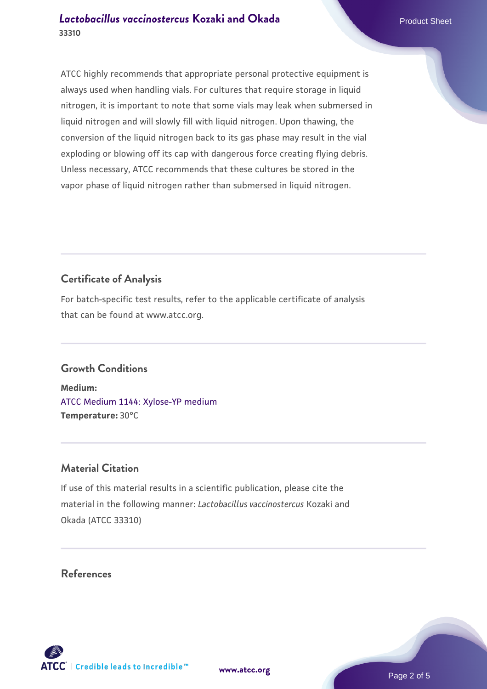ATCC highly recommends that appropriate personal protective equipment is always used when handling vials. For cultures that require storage in liquid nitrogen, it is important to note that some vials may leak when submersed in liquid nitrogen and will slowly fill with liquid nitrogen. Upon thawing, the conversion of the liquid nitrogen back to its gas phase may result in the vial exploding or blowing off its cap with dangerous force creating flying debris. Unless necessary, ATCC recommends that these cultures be stored in the vapor phase of liquid nitrogen rather than submersed in liquid nitrogen.

# **Certificate of Analysis**

For batch-specific test results, refer to the applicable certificate of analysis that can be found at www.atcc.org.

### **Growth Conditions**

**Medium:**  [ATCC Medium 1144: Xylose-YP medium](https://www.atcc.org/-/media/product-assets/documents/microbial-media-formulations/atcc-medium-1144.pdf?rev=6084cbf89f2a4f108290dc2d1f2871f2) **Temperature:** 30°C

### **Material Citation**

If use of this material results in a scientific publication, please cite the material in the following manner: *Lactobacillus vaccinostercus* Kozaki and Okada (ATCC 33310)

### **References**



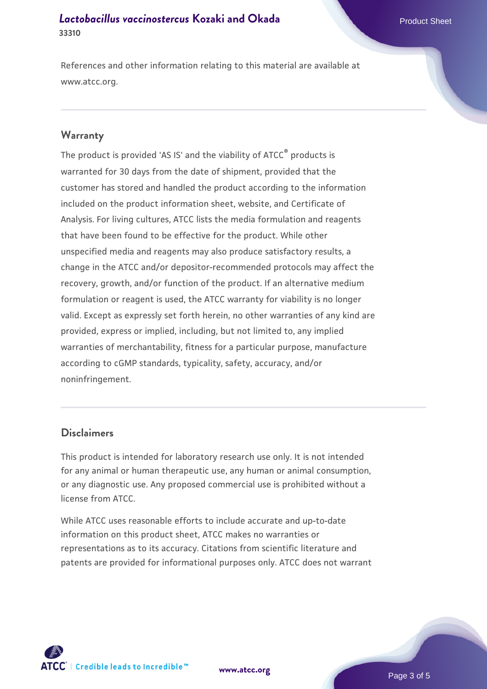References and other information relating to this material are available at www.atcc.org.

### **Warranty**

The product is provided 'AS IS' and the viability of ATCC® products is warranted for 30 days from the date of shipment, provided that the customer has stored and handled the product according to the information included on the product information sheet, website, and Certificate of Analysis. For living cultures, ATCC lists the media formulation and reagents that have been found to be effective for the product. While other unspecified media and reagents may also produce satisfactory results, a change in the ATCC and/or depositor-recommended protocols may affect the recovery, growth, and/or function of the product. If an alternative medium formulation or reagent is used, the ATCC warranty for viability is no longer valid. Except as expressly set forth herein, no other warranties of any kind are provided, express or implied, including, but not limited to, any implied warranties of merchantability, fitness for a particular purpose, manufacture according to cGMP standards, typicality, safety, accuracy, and/or noninfringement.

### **Disclaimers**

This product is intended for laboratory research use only. It is not intended for any animal or human therapeutic use, any human or animal consumption, or any diagnostic use. Any proposed commercial use is prohibited without a license from ATCC.

While ATCC uses reasonable efforts to include accurate and up-to-date information on this product sheet, ATCC makes no warranties or representations as to its accuracy. Citations from scientific literature and patents are provided for informational purposes only. ATCC does not warrant



**[www.atcc.org](http://www.atcc.org)**

Page 3 of 5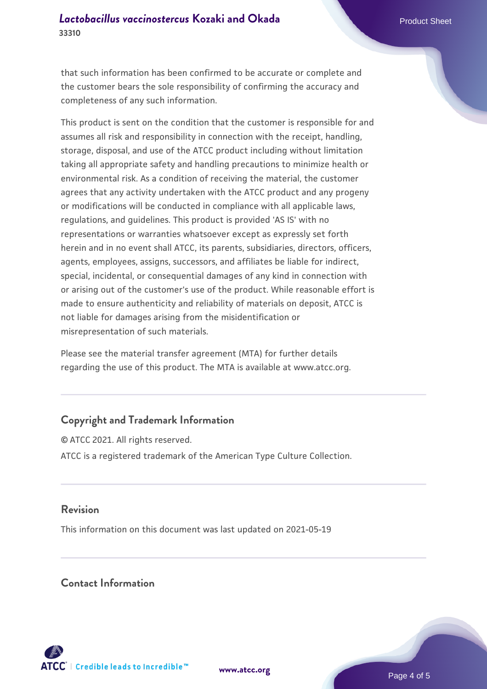that such information has been confirmed to be accurate or complete and the customer bears the sole responsibility of confirming the accuracy and completeness of any such information.

This product is sent on the condition that the customer is responsible for and assumes all risk and responsibility in connection with the receipt, handling, storage, disposal, and use of the ATCC product including without limitation taking all appropriate safety and handling precautions to minimize health or environmental risk. As a condition of receiving the material, the customer agrees that any activity undertaken with the ATCC product and any progeny or modifications will be conducted in compliance with all applicable laws, regulations, and guidelines. This product is provided 'AS IS' with no representations or warranties whatsoever except as expressly set forth herein and in no event shall ATCC, its parents, subsidiaries, directors, officers, agents, employees, assigns, successors, and affiliates be liable for indirect, special, incidental, or consequential damages of any kind in connection with or arising out of the customer's use of the product. While reasonable effort is made to ensure authenticity and reliability of materials on deposit, ATCC is not liable for damages arising from the misidentification or misrepresentation of such materials.

Please see the material transfer agreement (MTA) for further details regarding the use of this product. The MTA is available at www.atcc.org.

## **Copyright and Trademark Information**

© ATCC 2021. All rights reserved. ATCC is a registered trademark of the American Type Culture Collection.

### **Revision**

This information on this document was last updated on 2021-05-19

### **Contact Information**



**[www.atcc.org](http://www.atcc.org)**

Page 4 of 5